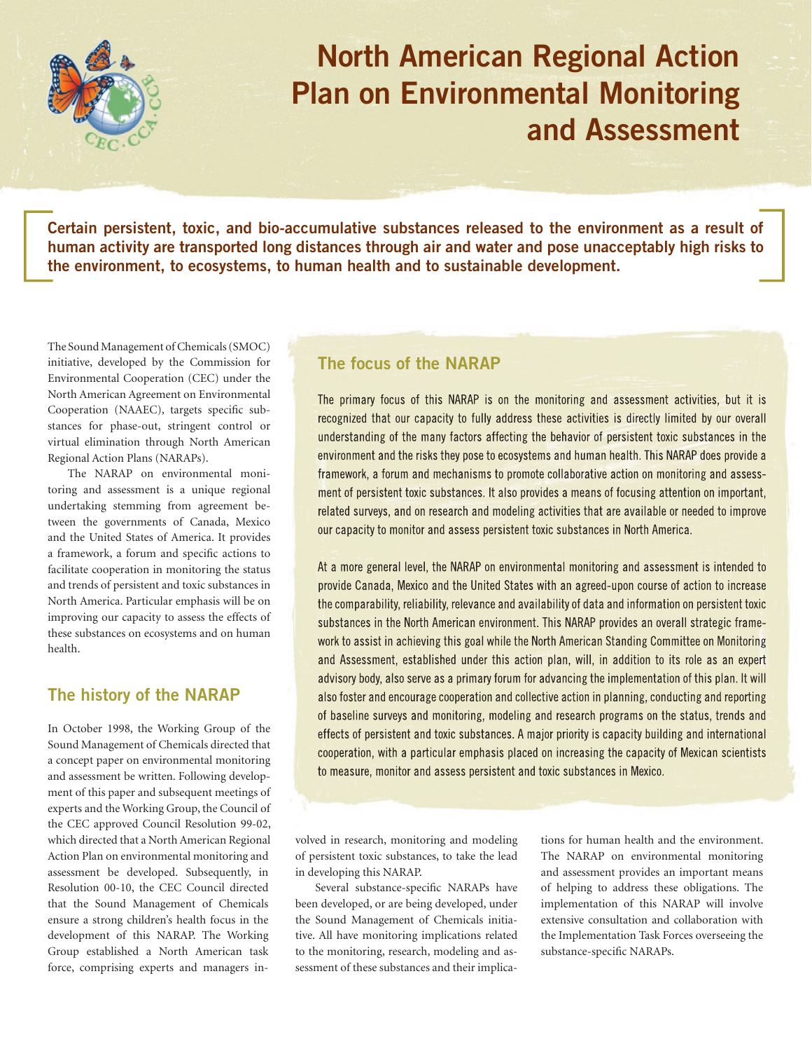

## **North American Regional Action Plan on Environmental Monitoring and Assessment**

**Certain persistent, toxic, and bio-accumulative substances released to the environment as a result of human activity are transported long distances through air and water and pose unacceptably high risks to the environment, to ecosystems, to human health and to sustainable development.**

The Sound Management of Chemicals (SMOC) initiative, developed by the Commission for Environmental Cooperation (CEC) under the North American Agreement on Environmental Cooperation (NAAEC), targets specific substances for phase-out, stringent control or virtual elimination through North American Regional Action Plans (NARAPs).

The NARAP on environmental monitoring and assessment is a unique regional undertaking stemming from agreement between the governments of Canada, Mexico and the United States of America. It provides a framework, a forum and specific actions to facilitate cooperation in monitoring the status and trends of persistent and toxic substances in North America. Particular emphasis will be on improving our capacity to assess the effects of these substances on ecosystems and on human health.

## **The history of the NARAP**

In October 1998, the Working Group of the Sound Management of Chemicals directed that a concept paper on environmental monitoring and assessment be written. Following development of this paper and subsequent meetings of experts and the Working Group, the Council of the CEC approved Council Resolution 99-02, which directed that a North American Regional Action Plan on environmental monitoring and assessment be developed. Subsequently, in Resolution 00-10, the CEC Council directed that the Sound Management of Chemicals ensure a strong children's health focus in the development of this NARAP. The Working Group established a North American task force, comprising experts and managers in-

## **The focus of the NARAP**

The primary focus of this NARAP is on the monitoring and assessment activities, but it is recognized that our capacity to fully address these activities is directly limited by our overall understanding of the many factors affecting the behavior of persistent toxic substances in the environment and the risks they pose to ecosystems and human health. This NARAP does provide a framework, a forum and mechanisms to promote collaborative action on monitoring and assessment of persistent toxic substances. It also provides a means of focusing attention on important, related surveys, and on research and modeling activities that are available or needed to improve our capacity to monitor and assess persistent toxic substances in North America.

At a more general level, the NARAP on environmental monitoring and assessment is intended to provide Canada, Mexico and the United States with an agreed-upon course of action to increase the comparability, reliability, relevance and availability of data and information on persistent toxic substances in the North American environment. This NARAP provides an overall strategic framework to assist in achieving this goal while the North American Standing Committee on Monitoring and Assessment, established under this action plan, will, in addition to its role as an expert advisory body, also serve as a primary forum for advancing the implementation of this plan. It will also foster and encourage cooperation and collective action in planning, conducting and reporting of baseline surveys and monitoring, modeling and research programs on the status, trends and effects of persistent and toxic substances. A major priority is capacity building and international cooperation, with a particular emphasis placed on increasing the capacity of Mexican scientists to measure, monitor and assess persistent and toxic substances in Mexico.

volved in research, monitoring and modeling of persistent toxic substances, to take the lead in developing this NARAP.

Several substance-specific NARAPs have been developed, or are being developed, under the Sound Management of Chemicals initiative. All have monitoring implications related to the monitoring, research, modeling and assessment of these substances and their implications for human health and the environment. The NARAP on environmental monitoring and assessment provides an important means of helping to address these obligations. The implementation of this NARAP will involve extensive consultation and collaboration with the Implementation Task Forces overseeing the substance-specific NARAPs.